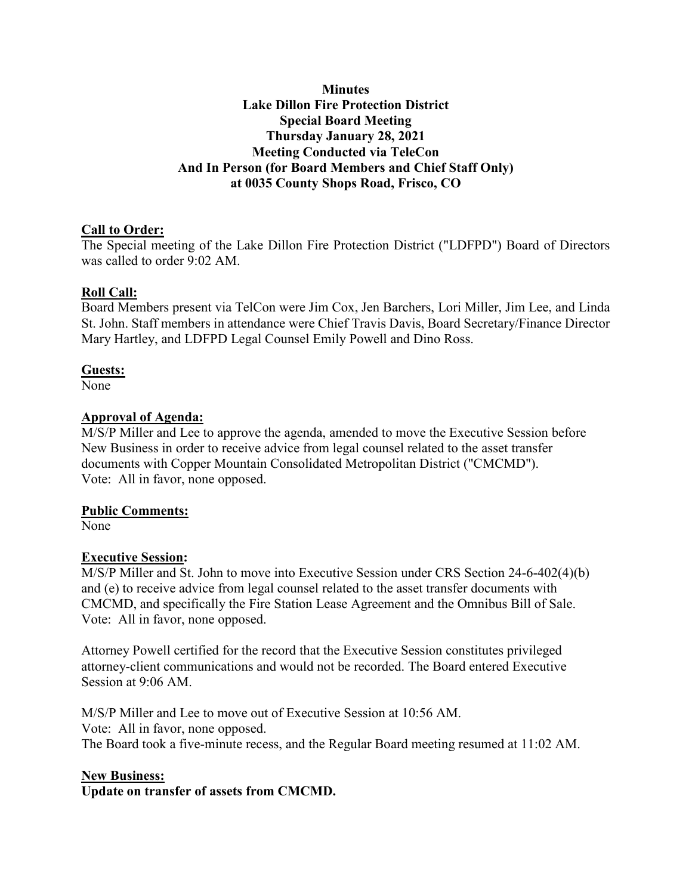#### **Minutes Lake Dillon Fire Protection District Special Board Meeting Thursday January 28, 2021 Meeting Conducted via TeleCon And In Person (for Board Members and Chief Staff Only) at 0035 County Shops Road, Frisco, CO**

# **Call to Order:**

The Special meeting of the Lake Dillon Fire Protection District ("LDFPD") Board of Directors was called to order 9:02 AM.

## **Roll Call:**

Board Members present via TelCon were Jim Cox, Jen Barchers, Lori Miller, Jim Lee, and Linda St. John. Staff members in attendance were Chief Travis Davis, Board Secretary/Finance Director Mary Hartley, and LDFPD Legal Counsel Emily Powell and Dino Ross.

## **Guests:**

None

#### **Approval of Agenda:**

M/S/P Miller and Lee to approve the agenda, amended to move the Executive Session before New Business in order to receive advice from legal counsel related to the asset transfer documents with Copper Mountain Consolidated Metropolitan District ("CMCMD"). Vote: All in favor, none opposed.

## **Public Comments:**

None

## **Executive Session:**

M/S/P Miller and St. John to move into Executive Session under CRS Section 24-6-402(4)(b) and (e) to receive advice from legal counsel related to the asset transfer documents with CMCMD, and specifically the Fire Station Lease Agreement and the Omnibus Bill of Sale. Vote: All in favor, none opposed.

Attorney Powell certified for the record that the Executive Session constitutes privileged attorney-client communications and would not be recorded. The Board entered Executive Session at 9:06 AM.

M/S/P Miller and Lee to move out of Executive Session at 10:56 AM. Vote: All in favor, none opposed. The Board took a five-minute recess, and the Regular Board meeting resumed at 11:02 AM.

#### **New Business:**

**Update on transfer of assets from CMCMD.**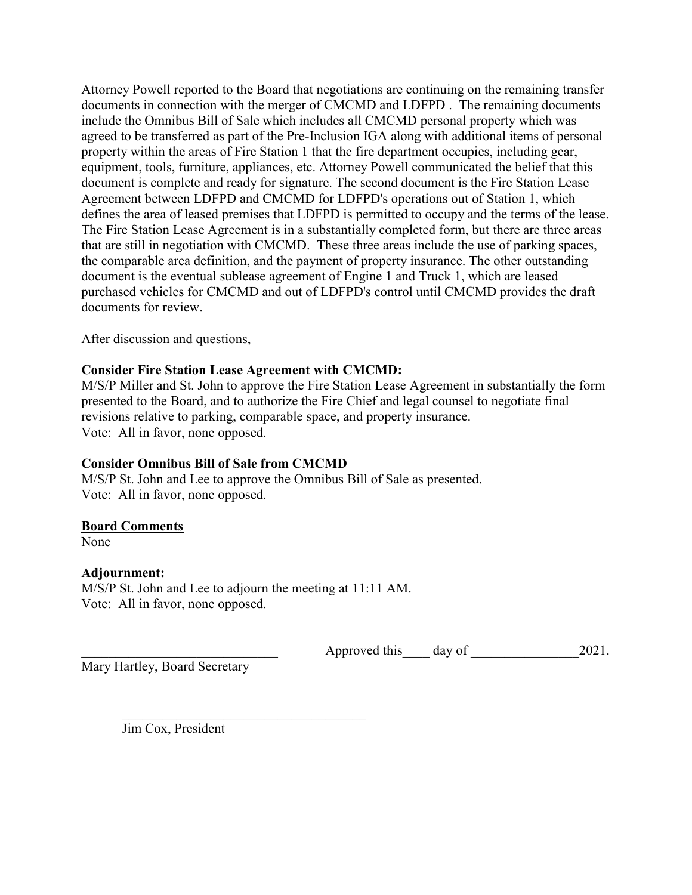Attorney Powell reported to the Board that negotiations are continuing on the remaining transfer documents in connection with the merger of CMCMD and LDFPD . The remaining documents include the Omnibus Bill of Sale which includes all CMCMD personal property which was agreed to be transferred as part of the Pre-Inclusion IGA along with additional items of personal property within the areas of Fire Station 1 that the fire department occupies, including gear, equipment, tools, furniture, appliances, etc. Attorney Powell communicated the belief that this document is complete and ready for signature. The second document is the Fire Station Lease Agreement between LDFPD and CMCMD for LDFPD's operations out of Station 1, which defines the area of leased premises that LDFPD is permitted to occupy and the terms of the lease. The Fire Station Lease Agreement is in a substantially completed form, but there are three areas that are still in negotiation with CMCMD. These three areas include the use of parking spaces, the comparable area definition, and the payment of property insurance. The other outstanding document is the eventual sublease agreement of Engine 1 and Truck 1, which are leased purchased vehicles for CMCMD and out of LDFPD's control until CMCMD provides the draft documents for review.

After discussion and questions,

# **Consider Fire Station Lease Agreement with CMCMD:**

M/S/P Miller and St. John to approve the Fire Station Lease Agreement in substantially the form presented to the Board, and to authorize the Fire Chief and legal counsel to negotiate final revisions relative to parking, comparable space, and property insurance. Vote: All in favor, none opposed.

## **Consider Omnibus Bill of Sale from CMCMD**

M/S/P St. John and Lee to approve the Omnibus Bill of Sale as presented. Vote: All in favor, none opposed.

## **Board Comments**

None

## **Adjournment:**

M/S/P St. John and Lee to adjourn the meeting at 11:11 AM. Vote: All in favor, none opposed.

Approved this day of  $2021$ .

Mary Hartley, Board Secretary

Jim Cox, President